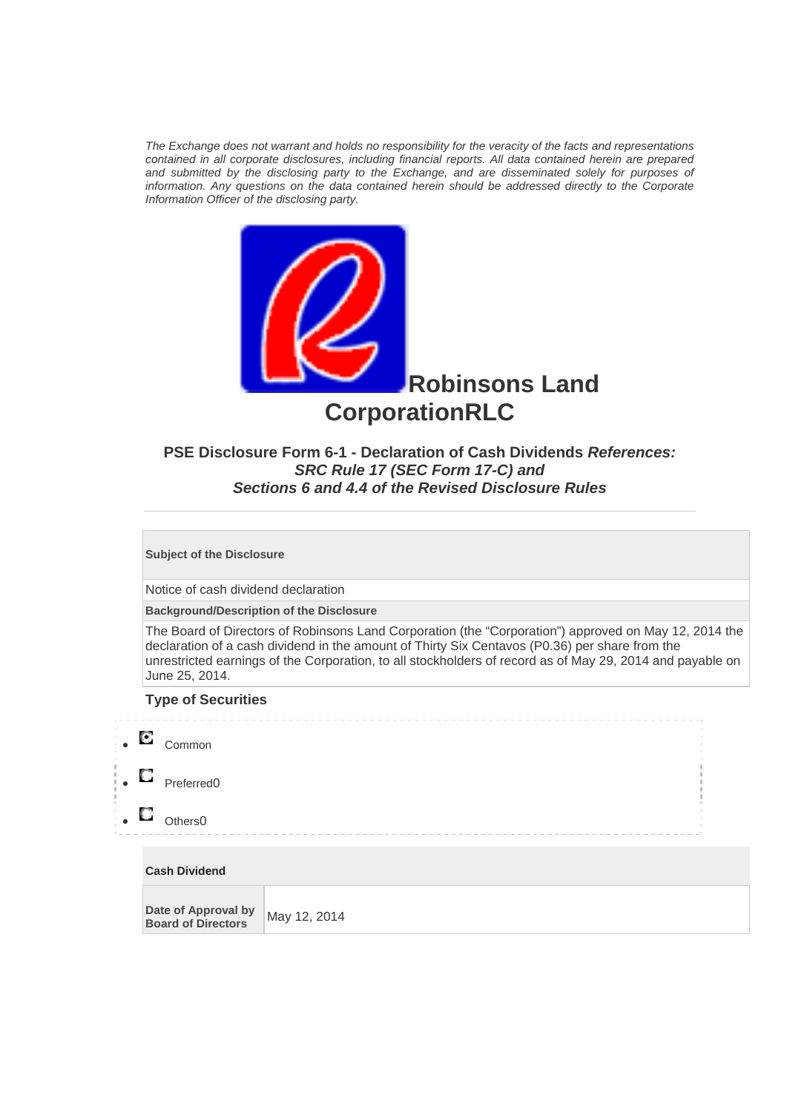*The Exchange does not warrant and holds no responsibility for the veracity of the facts and representations contained in all corporate disclosures, including financial reports. All data contained herein are prepared and submitted by the disclosing party to the Exchange, and are disseminated solely for purposes of information. Any questions on the data contained herein should be addressed directly to the Corporate Information Officer of the disclosing party.* 



**Robinsons Land CorporationRLC**

## **PSE Disclosure Form 6-1 - Declaration of Cash Dividends** *References: SRC Rule 17 (SEC Form 17-C) and Sections 6 and 4.4 of the Revised Disclosure Rules*

**Subject of the Disclosure** 

Notice of cash dividend declaration

**Background/Description of the Disclosure**

The Board of Directors of Robinsons Land Corporation (the "Corporation") approved on May 12, 2014 the declaration of a cash dividend in the amount of Thirty Six Centavos (P0.36) per share from the unrestricted earnings of the Corporation, to all stockholders of record as of May 29, 2014 and payable on June 25, 2014.

## **Type of Securities**



## **Cash Dividend**

| Date of Approval by<br>May 12, 2014<br><b>Board of Directors</b> |  |
|------------------------------------------------------------------|--|